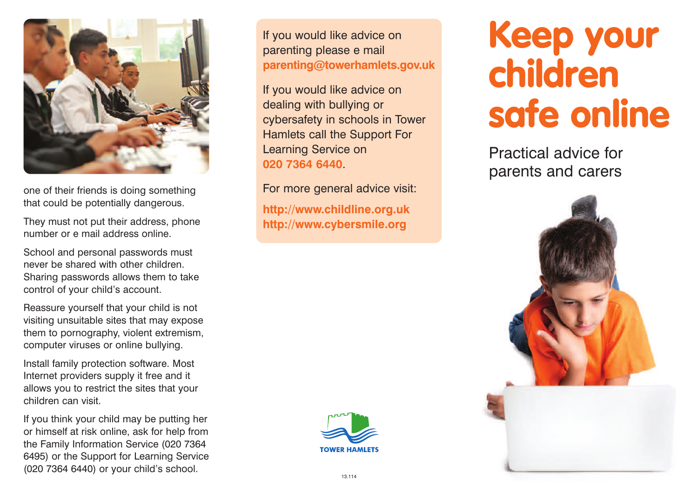

one of their friends is doing something that could be potentially dangerous.

They must not put their address, phone number or e mail address online.

School and personal passwords must never be shared with other children. Sharing passwords allows them to take control of your child's account.

Reassure yourself that your child is not visiting unsuitable sites that may expose them to pornography, violent extremism, computer viruses or online bullying.

Install family protection software. Most Internet providers supply it free and it allows you to restrict the sites that your children can visit.

If you think your child may be putting her or himself at risk online, ask for help from the Family Information Service (020 7364 6495) or the Support for Learning Service (020 7364 6440) or your child's school.

If you would like advice on parenting please e mail **parenting@towerhamlets.gov.uk**

If you would like advice on dealing with bullying or cybersafety in schools in Tower Hamlets call the Support For Learning Service on **020 7364 6440**.

For more general advice visit:

**http://www.childline.org.uk http://www.cybersmile.org**



## **Keep your children safe online**

Practical advice for parents and carers